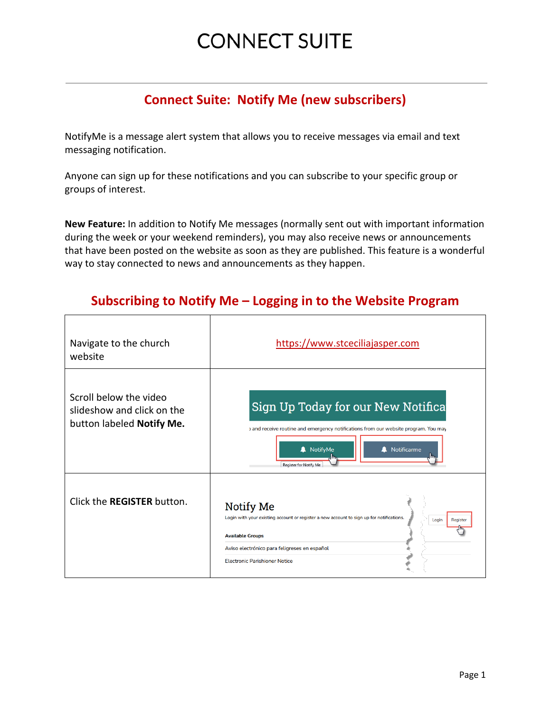### **CONNECT SUITE**

### **Connect Suite: Notify Me (new subscribers)**

NotifyMe is a message alert system that allows you to receive messages via email and text messaging notification.

Anyone can sign up for these notifications and you can subscribe to your specific group or groups of interest.

**New Feature:** In addition to Notify Me messages (normally sent out with important information during the week or your weekend reminders), you may also receive news or announcements that have been posted on the website as soon as they are published. This feature is a wonderful way to stay connected to news and announcements as they happen.

#### **Subscribing to Notify Me – Logging in to the Website Program**

| Navigate to the church<br>website                                                 | https://www.stceciliajasper.com                                                                                                                                                                                                                      |
|-----------------------------------------------------------------------------------|------------------------------------------------------------------------------------------------------------------------------------------------------------------------------------------------------------------------------------------------------|
| Scroll below the video<br>slideshow and click on the<br>button labeled Notify Me. | Sign Up Today for our New Notifica<br>and receive routine and emergency notifications from our website program. You may<br>NotifyMe<br>Notificarme<br>Register for Notify Me                                                                         |
| Click the <b>REGISTER</b> button.                                                 | <b>Notify Me</b><br>Login with your existing account or register a new account to sign up for notifications.<br>Login<br>Register<br><b>Available Groups</b><br>Aviso electrónico para feligreses en español<br><b>Electronic Parishioner Notice</b> |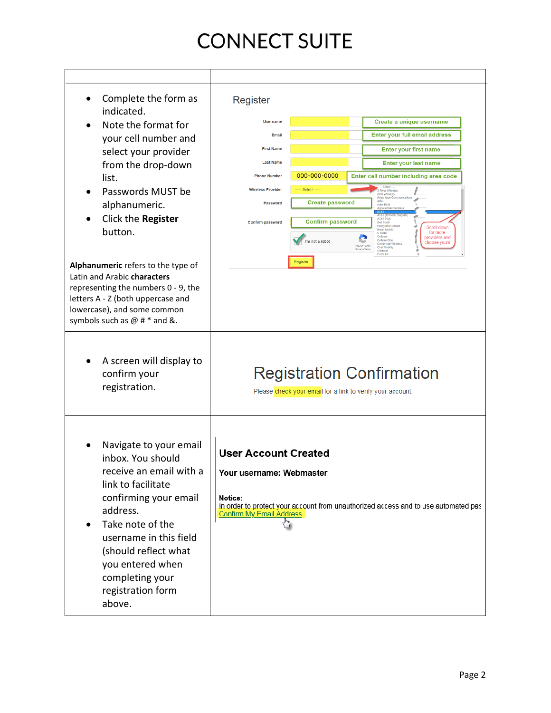# **CONNECT SUITE**

| Complete the form as<br>indicated.<br>Note the format for                                                                                                                                                                                                                     | Register<br><b>Username</b>                                                                           |                         | Create a unique username                                                                                                                                                              |
|-------------------------------------------------------------------------------------------------------------------------------------------------------------------------------------------------------------------------------------------------------------------------------|-------------------------------------------------------------------------------------------------------|-------------------------|---------------------------------------------------------------------------------------------------------------------------------------------------------------------------------------|
|                                                                                                                                                                                                                                                                               | Email                                                                                                 |                         | <b>Enter your full email address</b>                                                                                                                                                  |
| your cell number and<br>select your provider                                                                                                                                                                                                                                  | <b>First Name</b>                                                                                     |                         | <b>Enter your first name</b>                                                                                                                                                          |
| from the drop-down                                                                                                                                                                                                                                                            | <b>Last Name</b>                                                                                      |                         | <b>Enter your last name</b>                                                                                                                                                           |
| list.                                                                                                                                                                                                                                                                         | <b>Phone Number</b>                                                                                   | 000-000-0000            | Enter cell number including area code                                                                                                                                                 |
| Passwords MUST be                                                                                                                                                                                                                                                             | <b>Wireless Provider</b>                                                                              | ---- Select -----       | <b>River Wireless</b><br>ACS Wireless                                                                                                                                                 |
| alphanumeric.                                                                                                                                                                                                                                                                 | Password                                                                                              | <b>Create password</b>  | Advantage Comm<br>Alltel<br>Alltel PCS<br>Annalachian V                                                                                                                               |
| Click the Register                                                                                                                                                                                                                                                            | Confirm password                                                                                      | <b>Confirm password</b> | AT&<br><b>AT&amp;T</b> (form<br><b>AT&amp;T PCS</b><br><b>Bell South</b>                                                                                                              |
| button.                                                                                                                                                                                                                                                                       |                                                                                                       | 'm not a robot          | Bluegrass Cellular<br>Scroll down<br>for more<br>C Spire<br>Cellcom<br>providers and<br>Cellular One<br>choose yours<br>Centennial Wireless<br>reCAPTCHA<br>Chat Mobility<br>Clearnet |
| Alphanumeric refers to the type of<br>Latin and Arabic characters<br>representing the numbers 0 - 9, the<br>letters A - Z (both uppercase and<br>lowercase), and some common<br>symbols such as $@# *$ and &.                                                                 |                                                                                                       | Register                | Comcast                                                                                                                                                                               |
| A screen will display to<br>confirm your<br>registration.                                                                                                                                                                                                                     |                                                                                                       |                         | <b>Registration Confirmation</b><br>Please check your email for a link to verify your account.                                                                                        |
| Navigate to your email<br>inbox. You should<br>receive an email with a<br>link to facilitate<br>confirming your email<br>address.<br>Take note of the<br>username in this field<br>(should reflect what<br>you entered when<br>completing your<br>registration form<br>above. | <b>User Account Created</b><br>Your username: Webmaster<br>Notice:<br><b>Confirm My Email Address</b> |                         | In order to protect your account from unauthorized access and to use automated pas                                                                                                    |